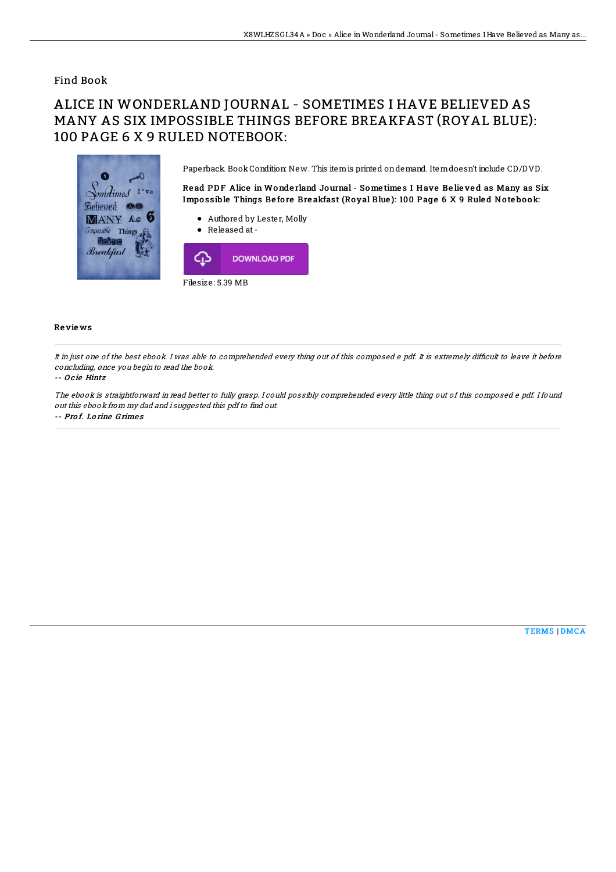### Find Book

# ALICE IN WONDERLAND JOURNAL - SOMETIMES I HAVE BELIEVED AS MANY AS SIX IMPOSSIBLE THINGS BEFORE BREAKFAST (ROYAL BLUE): 100 PAGE 6 X 9 RULED NOTEBOOK:



#### Re vie ws

It in just one of the best ebook. I was able to comprehended every thing out of this composed e pdf. It is extremely difficult to leave it before concluding, once you begin to read the book.

#### -- O c ie Hintz

The ebook is straightforward in read better to fully grasp. I could possibly comprehended every little thing out of this composed e pdf. I found out this ebook from my dad and i suggested this pdf to find out.

-- Pro f. Lo rine G rime s